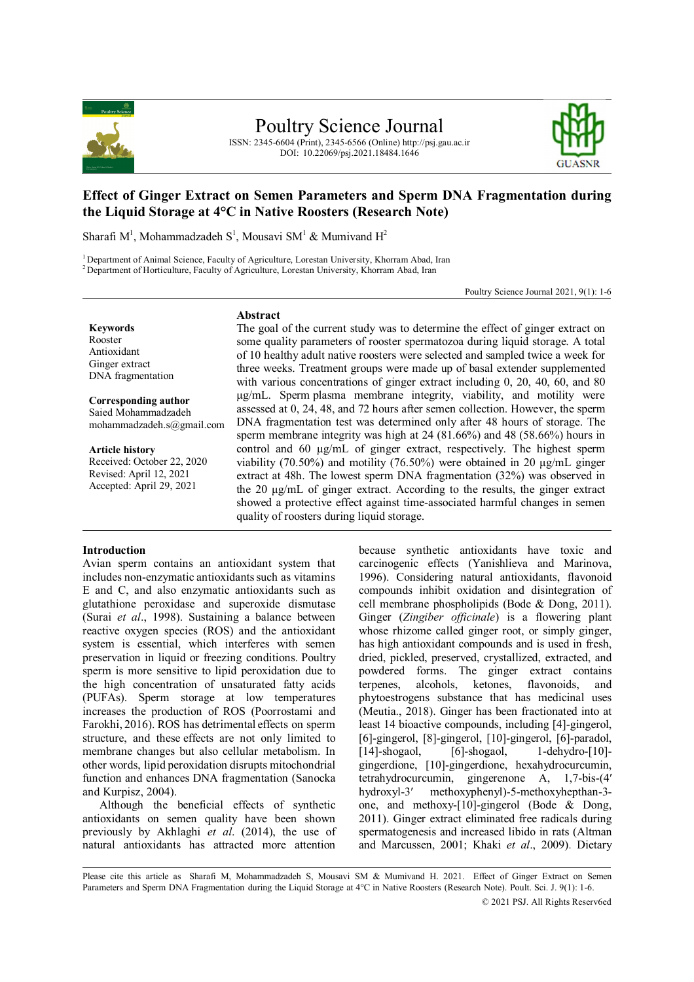

ISSN: 2345-6604 (Print), 2345-6566 (Online) http://psj.gau.ac.ir DOI: 10.22069/psj.2021.18484.1646



# **Effect of Ginger Extract on Semen Parameters and Sperm DNA Fragmentation during the Liquid Storage at 4°C in Native Roosters (Research Note)**

Sharafi M<sup>1</sup>, Mohammadzadeh S<sup>1</sup>, Mousavi SM<sup>1</sup> & Mumivand H<sup>2</sup>

<sup>1</sup> Department of Animal Science, Faculty of Agriculture, Lorestan University, Khorram Abad, Iran <sup>2</sup> Department of Horticulture, Faculty of Agriculture, Lorestan University, Khorram Abad, Iran

Poultry Science Journal 2021, 9(1): 1-6

**Keywords** Rooster Antioxidant Ginger extract DNA fragmentation

**Corresponding author** Saied Mohammadzadeh mohammadzadeh.s@gmail.com

**Article history** Received: October 22, 2020 Revised: April 12, 2021 Accepted: April 29, 2021

# **Abstract**

The goal of the current study was to determine the effect of ginger extract on some quality parameters of rooster spermatozoa during liquid storage. A total of 10 healthy adult native roosters were selected and sampled twice a week for three weeks. Treatment groups were made up of basal extender supplemented with various concentrations of ginger extract including 0, 20, 40, 60, and 80 μg/mL. Sperm plasma membrane integrity, viability, and motility were assessed at 0, 24, 48, and 72 hours after semen collection. However, the sperm DNA fragmentation test was determined only after 48 hours of storage. The sperm membrane integrity was high at 24 (81.66%) and 48 (58.66%) hours in control and 60 µg/mL of ginger extract, respectively. The highest sperm viability (70.50%) and motility (76.50%) were obtained in 20 μg/mL ginger extract at 48h. The lowest sperm DNA fragmentation (32%) was observed in the 20 μg/mL of ginger extract. According to the results, the ginger extract showed a protective effect against time-associated harmful changes in semen quality of roosters during liquid storage.

## **Introduction**

Avian sperm contains an antioxidant system that includes non-enzymatic antioxidants such as vitamins E and C, and also enzymatic antioxidants such as glutathione peroxidase and superoxide dismutase (Surai *et al*., 1998). Sustaining a balance between reactive oxygen species (ROS) and the antioxidant system is essential, which interferes with semen preservation in liquid or freezing conditions. Poultry sperm is more sensitive to lipid peroxidation due to the high concentration of unsaturated fatty acids (PUFAs). Sperm storage at low temperatures increases the production of ROS (Poorrostami and Farokhi, 2016). ROS has detrimental effects on sperm structure, and these effects are not only limited to membrane changes but also cellular metabolism. In other words, lipid peroxidation disrupts mitochondrial function and enhances DNA fragmentation (Sanocka and Kurpisz, 2004).

Although the beneficial effects of synthetic antioxidants on semen quality have been shown previously by Akhlaghi *et al*. (2014), the use of natural antioxidants has attracted more attention

because synthetic antioxidants have toxic and carcinogenic effects (Yanishlieva and Marinova, 1996). Considering natural antioxidants, flavonoid compounds inhibit oxidation and disintegration of cell membrane phospholipids (Bode & Dong, 2011). Ginger (*Zingiber officinale*) is a flowering plant whose rhizome called ginger root, or simply ginger, has high antioxidant compounds and is used in fresh, dried, pickled, preserved, crystallized, extracted, and powdered forms. The ginger extract contains terpenes. alcohols. ketones. flavonoids. and terpenes, alcohols, ketones, flavonoids, and phytoestrogens substance that has medicinal uses (Meutia., 2018). Ginger has been fractionated into at least 14 bioactive compounds, including [4]-gingerol, [6]-gingerol, [8]-gingerol, [10]-gingerol, [6]-paradol, [14]-shogaol, [6]-shogaol, 1-dehydro-[10]gingerdione, [10]-gingerdione, hexahydrocurcumin, tetrahydrocurcumin, gingerenone A, 1,7-bis-(4′ hydroxyl-3′ methoxyphenyl)-5-methoxyhepthan-3 one, and methoxy-[10]-gingerol (Bode & Dong, 2011). Ginger extract eliminated free radicals during spermatogenesis and increased libido in rats (Altman and Marcussen, 2001; Khaki *et al*., 2009). Dietary

Please cite this article as Sharafi M, Mohammadzadeh S, Mousavi SM & Mumivand H. 2021. Effect of Ginger Extract on Semen Parameters and Sperm DNA Fragmentation during the Liquid Storage at 4°C in Native Roosters (Research Note). Poult. Sci. J. 9(1): 1-6.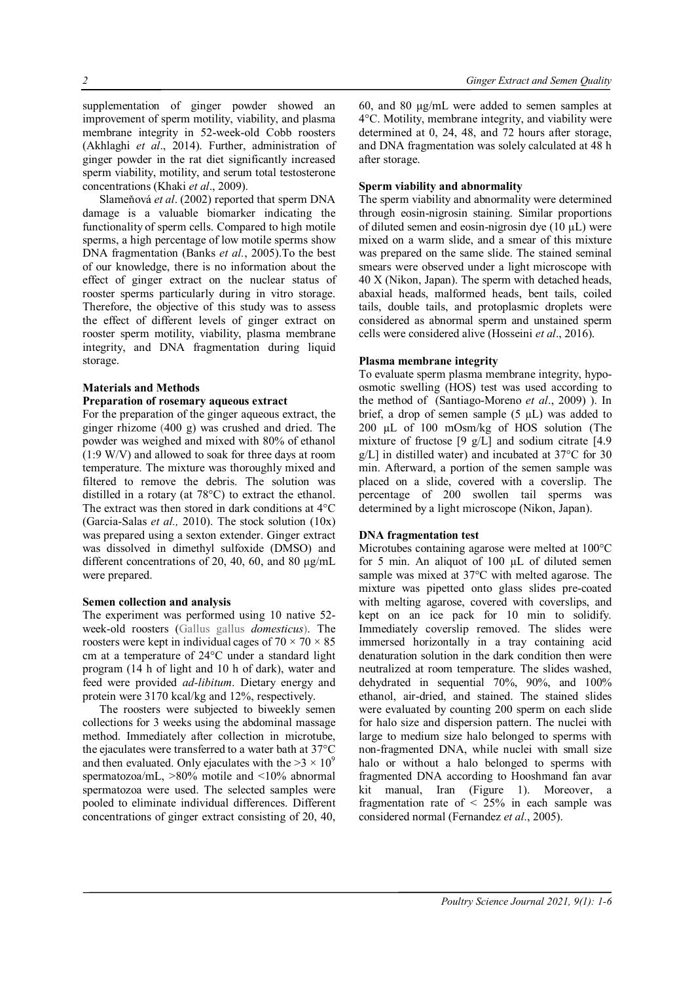supplementation of ginger powder showed an improvement of sperm motility, viability, and plasma membrane integrity in 52-week-old Cobb roosters (Akhlaghi *et al*., 2014). Further, administration of ginger powder in the rat diet significantly increased sperm viability, motility, and serum total testosterone concentrations (Khaki *et al*., 2009).

Slameňová *et al*. (2002) reported that sperm DNA damage is a valuable biomarker indicating the functionality of sperm cells. Compared to high motile sperms, a high percentage of low motile sperms show DNA fragmentation (Banks *et al.*, 2005).To the best of our knowledge, there is no information about the effect of ginger extract on the nuclear status of rooster sperms particularly during in vitro storage. Therefore, the objective of this study was to assess the effect of different levels of ginger extract on rooster sperm motility, viability, plasma membrane integrity, and DNA fragmentation during liquid storage.

### **Materials and Methods**

### **Preparation of rosemary aqueous extract**

For the preparation of the ginger aqueous extract, the ginger rhizome (400 g) was crushed and dried. The powder was weighed and mixed with 80% of ethanol (1:9 W/V) and allowed to soak for three days at room temperature. The mixture was thoroughly mixed and filtered to remove the debris. The solution was distilled in a rotary (at 78°C) to extract the ethanol. The extract was then stored in dark conditions at 4°C (Garcia-Salas *et al.,* 2010). The stock solution (10x) was prepared using a sexton extender. Ginger extract was dissolved in dimethyl sulfoxide (DMSO) and different concentrations of 20, 40, 60, and 80 μg/mL were prepared.

### **Semen collection and analysis**

The experiment was performed using 10 native 52 week-old roosters (Gallus gallus *domesticus*). The roosters were kept in individual cages of  $70 \times 70 \times 85$ cm at a temperature of 24°C under a standard light program (14 h of light and 10 h of dark), water and feed were provided *ad-libitum*. Dietary energy and protein were 3170 kcal/kg and 12%, respectively.

The roosters were subjected to biweekly semen collections for 3 weeks using the abdominal massage method. Immediately after collection in microtube, the ejaculates were transferred to a water bath at 37°C and then evaluated. Only ejaculates with the  $>3 \times 10^9$ spermatozoa/mL, >80% motile and <10% abnormal spermatozoa were used. The selected samples were pooled to eliminate individual differences. Different concentrations of ginger extract consisting of 20, 40, 60, and 80 μg/mL were added to semen samples at 4°C. Motility, membrane integrity, and viability were determined at 0, 24, 48, and 72 hours after storage, and DNA fragmentation was solely calculated at 48 h after storage.

# **Sperm viability and abnormality**

The sperm viability and abnormality were determined through eosin-nigrosin staining. Similar proportions of diluted semen and eosin-nigrosin dye  $(10 \mu L)$  were mixed on a warm slide, and a smear of this mixture was prepared on the same slide. The stained seminal smears were observed under a light microscope with 40 X (Nikon, Japan). The sperm with detached heads, abaxial heads, malformed heads, bent tails, coiled tails, double tails, and protoplasmic droplets were considered as abnormal sperm and unstained sperm cells were considered alive (Hosseini *et al*., 2016).

### **Plasma membrane integrity**

To evaluate sperm plasma membrane integrity, hypoosmotic swelling (HOS) test was used according to the method of (Santiago-Moreno *et al*., 2009) ). In brief, a drop of semen sample  $(5 \mu L)$  was added to 200 µL of 100 mOsm/kg of HOS solution (The mixture of fructose [9 g/L] and sodium citrate [4.9 g/L] in distilled water) and incubated at 37°C for 30 min. Afterward, a portion of the semen sample was placed on a slide, covered with a coverslip. The percentage of 200 swollen tail sperms was determined by a light microscope (Nikon, Japan).

### **DNA fragmentation test**

Microtubes containing agarose were melted at 100°C for 5 min. An aliquot of 100 µL of diluted semen sample was mixed at 37°C with melted agarose. The mixture was pipetted onto glass slides pre-coated with melting agarose, covered with coverslips, and kept on an ice pack for 10 min to solidify. Immediately coverslip removed. The slides were immersed horizontally in a tray containing acid denaturation solution in the dark condition then were neutralized at room temperature. The slides washed, dehydrated in sequential 70%, 90%, and 100% ethanol, air-dried, and stained. The stained slides were evaluated by counting 200 sperm on each slide for halo size and dispersion pattern. The nuclei with large to medium size halo belonged to sperms with non-fragmented DNA, while nuclei with small size halo or without a halo belonged to sperms with fragmented DNA according to Hooshmand fan avar kit manual, Iran (Figure 1). Moreover, a fragmentation rate of  $\langle 25\% \rangle$  in each sample was considered normal (Fernandez *et al*., 2005).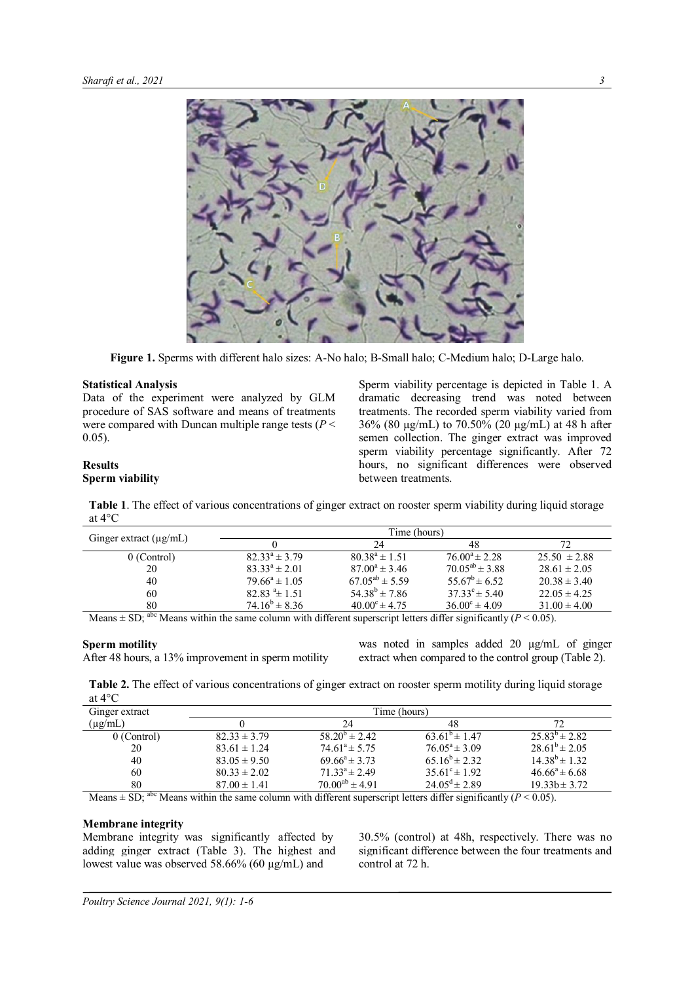

**Figure 1.** Sperms with different halo sizes: A-No halo; B-Small halo; C-Medium halo; D-Large halo.

### **Statistical Analysis**

Data of the experiment were analyzed by GLM procedure of SAS software and means of treatments were compared with Duncan multiple range tests  $(P <$ 0.05).

Sperm viability percentage is depicted in Table 1. A dramatic decreasing trend was noted between treatments. The recorded sperm viability varied from 36% (80 µg/mL) to 70.50% (20 µg/mL) at 48 h after semen collection. The ginger extract was improved sperm viability percentage significantly. After 72 hours, no significant differences were observed between treatments.

# **Results**

# **Sperm viability**

**Table 1**. The effect of various concentrations of ginger extract on rooster sperm viability during liquid storage at 4°C

|                                                          | Time (hours)       |                          |                                     |                  |  |
|----------------------------------------------------------|--------------------|--------------------------|-------------------------------------|------------------|--|
| Ginger extract $(\mu g/mL)$                              |                    | 24                       | 48                                  |                  |  |
| 0 (Control)                                              | $82.33^a \pm 3.79$ | $80.38^a \pm 1.51$       | $76.00^4 \pm 2.28$                  | $25.50 \pm 2.88$ |  |
| 20                                                       | $83.33^a \pm 2.01$ | $87.00^a \pm 3.46$       | $70.05^{ab} \pm 3.88$               | $28.61 \pm 2.05$ |  |
| 40                                                       | $79.66^a \pm 1.05$ | $67.05^{ab} \pm 5.59$    | $55.67^b \pm 6.52$                  | $20.38 \pm 3.40$ |  |
| 60                                                       | $82.83 \pm 1.51$   | $54.38^{b} \pm 7.86$     | $37.33^{\circ} \pm 5.40$            | $22.05 \pm 4.25$ |  |
| 80                                                       | $74.16^b \pm 8.36$ | $40.00^{\circ} \pm 4.75$ | $36.00^{\circ} \pm 4.09$            | $31.00 \pm 4.00$ |  |
| $\alpha$ $\beta$ $\beta$ $\beta$ $\gamma$<br>.<br>$\sim$ |                    | .                        | $\cdots$ $\alpha$ $\cdots$ $\alpha$ |                  |  |

Means  $\pm$  SD; <sup>abc</sup> Means within the same column with different superscript letters differ significantly (*P* < 0.05).

### **Sperm motility**

After 48 hours, a 13% improvement in sperm motility

was noted in samples added 20  $\mu$ g/mL of ginger extract when compared to the control group (Table 2).

**Table 2.** The effect of various concentrations of ginger extract on rooster sperm motility during liquid storage at 4°C

| Ginger extract | Time (hours)     |                          |                             |                      |  |
|----------------|------------------|--------------------------|-----------------------------|----------------------|--|
| $(\mu g/mL)$   |                  | 24                       | 48                          |                      |  |
| 0 (Control)    | $82.33 \pm 3.79$ | $58.20^{\circ} \pm 2.42$ | $63.61^{\circ} \pm 1.47$    | $25.83^{b} \pm 2.82$ |  |
| 20             | $83.61 \pm 1.24$ | $74.61^a \pm 5.75$       | $76.05^a \pm 3.09$          | $28.61^{b} \pm 2.05$ |  |
| 40             | $83.05 \pm 9.50$ | $69.66^a \pm 3.73$       | 65 $16^b \pm 2.32$          | $14.38^{b} \pm 1.32$ |  |
| 60             | $80.33 \pm 2.02$ | $71.33^a \pm 2.49$       | $35.61^{\circ} \pm 1.92$    | $46.66^a \pm 6.68$   |  |
| 80             | $87.00 \pm 1.41$ | $70.00^{ab} \pm 4.91$    | $24.05^{\text{d}} \pm 2.89$ | $19.33h \pm 3.72$    |  |

Means  $\pm$  SD; <sup>abc</sup> Means within the same column with different superscript letters differ significantly (*P* < 0.05).

## **Membrane integrity**

Membrane integrity was significantly affected by adding ginger extract (Table 3). The highest and lowest value was observed 58.66% (60 µg/mL) and

30.5% (control) at 48h, respectively. There was no significant difference between the four treatments and control at 72 h.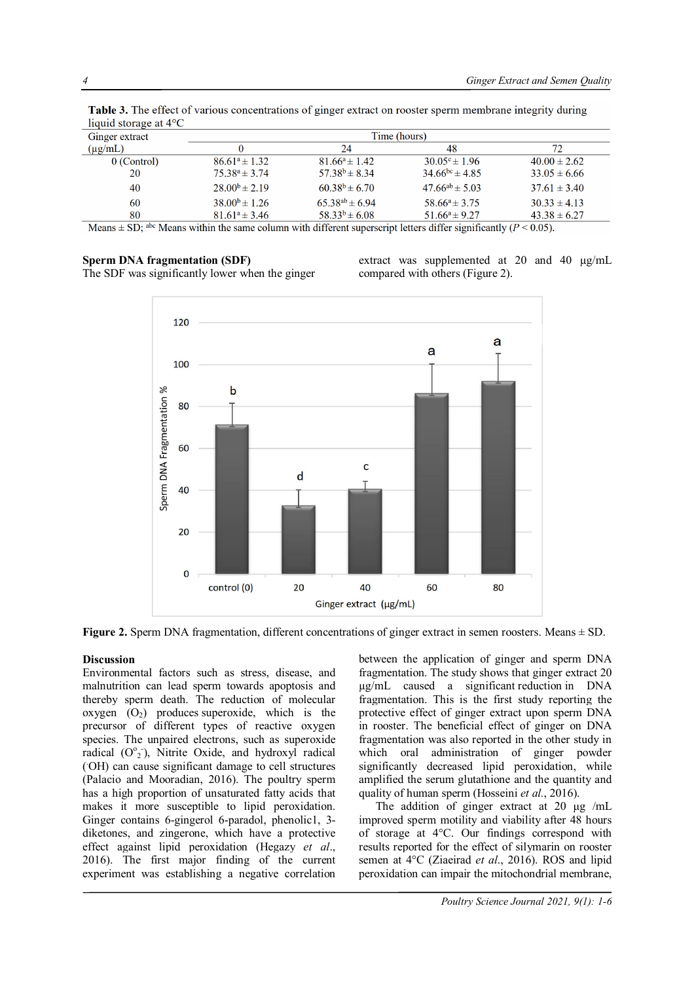| Ginger extract | Time (hours)         |                       |                          |                  |  |
|----------------|----------------------|-----------------------|--------------------------|------------------|--|
| $(\mu g/mL)$   |                      | 24                    | 48                       | 72               |  |
| 0 (Control)    | $86.61^a \pm 1.32$   | $81.66^a \pm 1.42$    | $30.05^{\circ} \pm 1.96$ | $40.00 \pm 2.62$ |  |
| 20             | $75.38^a \pm 3.74$   | $57.38^{b} \pm 8.34$  | $34.66^{bc} \pm 4.85$    | $33.05 \pm 6.66$ |  |
| 40             | $28.00^{b} \pm 2.19$ | $60.38^{b} \pm 6.70$  | $47.66^{ab} \pm 5.03$    | $37.61 \pm 3.40$ |  |
| 60             | $38.00^{b} \pm 1.26$ | $65.38^{ab} \pm 6.94$ | $58.66^a \pm 3.75$       | $30.33 \pm 4.13$ |  |
| 80             | $81.61^a \pm 3.46$   | $58.33^{b} \pm 6.08$  | $51.66^a \pm 9.27$       | $43.38 \pm 6.27$ |  |

Table 3. The effect of various concentrations of ginger extract on rooster sperm membrane integrity during

Means within the same column with different superscript letters differ significantly ( $P < 0.05$ ).

# **Sperm DNA fragmentation (SDF)**

The SDF was significantly lower when the ginger

extract was supplemented at 20 and 40 µg/mL compared with others (Figure 2).



**Figure 2.** Sperm DNA fragmentation, different concentrations of ginger extract in semen roosters. Means  $\pm$  SD.

# **Discussion**

Environmental factors such as stress, disease, and malnutrition can lead sperm towards apoptosis and thereby sperm death. The reduction of molecular oxygen  $(O_2)$  produces superoxide, which is the precursor of different types of reactive oxygen species. The unpaired electrons, such as superoxide radical  $(O<sup>o</sup><sub>2</sub>)$ , Nitrite Oxide, and hydroxyl radical ( .OH) can cause significant damage to cell structures (Palacio and Mooradian, 2016). The poultry sperm has a high proportion of unsaturated fatty acids that makes it more susceptible to lipid peroxidation. Ginger contains 6-gingerol 6-paradol, phenolic1, 3 diketones, and zingerone, which have a protective effect against lipid peroxidation (Hegazy *et al*., 2016). The first major finding of the current experiment was establishing a negative correlation

between the application of ginger and sperm DNA fragmentation. The study shows that ginger extract 20 µg/mL caused a significant reduction in DNA fragmentation. This is the first study reporting the protective effect of ginger extract upon sperm DNA in rooster. The beneficial effect of ginger on DNA fragmentation was also reported in the other study in which oral administration of ginger powder significantly decreased lipid peroxidation, while amplified the serum glutathione and the quantity and quality of human sperm (Hosseini *et al.*, 2016).

The addition of ginger extract at 20 μg /mL improved sperm motility and viability after 48 hours of storage at 4°C. Our findings correspond with results reported for the effect of silymarin on rooster semen at 4°C (Ziaeirad *et al*., 2016). ROS and lipid peroxidation can impair the mitochondrial membrane,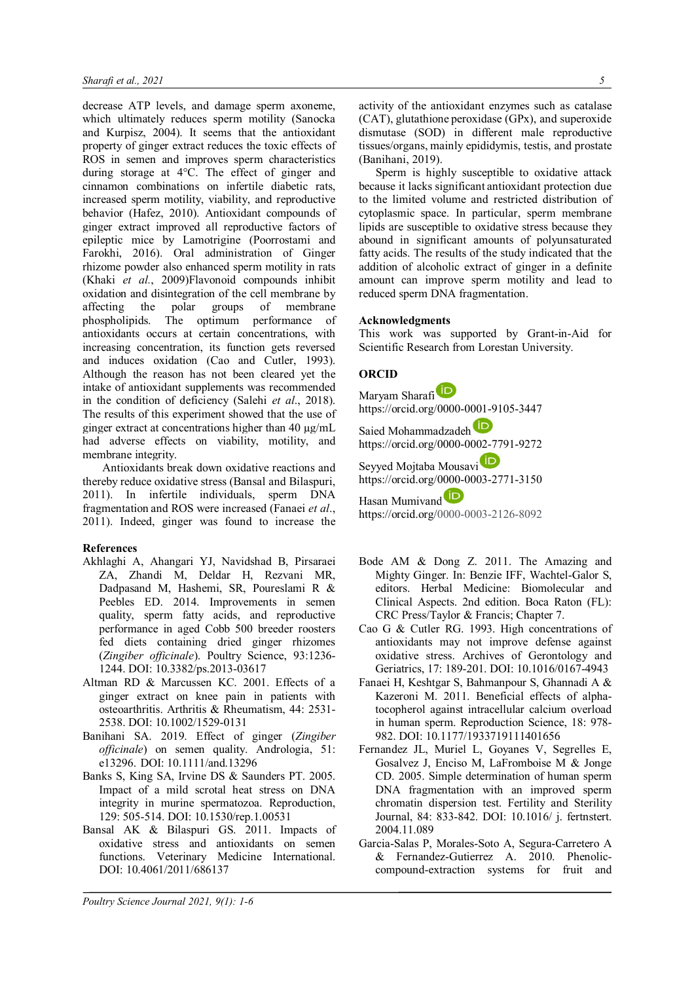decrease ATP levels, and damage sperm axoneme, which ultimately reduces sperm motility (Sanocka and Kurpisz, 2004). It seems that the antioxidant property of ginger extract reduces the toxic effects of ROS in semen and improves sperm characteristics during storage at 4°C. The effect of ginger and cinnamon combinations on infertile diabetic rats, increased sperm motility, viability, and reproductive behavior (Hafez, 2010). Antioxidant compounds of ginger extract improved all reproductive factors of epileptic mice by Lamotrigine (Poorrostami and Farokhi, 2016). Oral administration of Ginger rhizome powder also enhanced sperm motility in rats (Khaki *et al.*, 2009)Flavonoid compounds inhibit oxidation and disintegration of the cell membrane by affecting the polar groups of membrane phospholipids. The optimum performance of antioxidants occurs at certain concentrations, with increasing concentration, its function gets reversed and induces oxidation (Cao and Cutler, 1993). Although the reason has not been cleared yet the intake of antioxidant supplements was recommended in the condition of deficiency (Salehi *et al*., 2018). The results of this experiment showed that the use of ginger extract at concentrations higher than 40 µg/mL had adverse effects on viability, motility, and membrane integrity.

Antioxidants break down oxidative reactions and thereby reduce oxidative stress (Bansal and Bilaspuri, 2011). In infertile individuals, sperm DNA fragmentation and ROS were increased (Fanaei *et al*., 2011). Indeed, ginger was found to increase the

## **References**

- Akhlaghi A, Ahangari YJ, Navidshad B, Pirsaraei ZA, Zhandi M, Deldar H, Rezvani MR, Dadpasand M, Hashemi, SR, Poureslami R & Peebles ED. 2014. Improvements in semen quality, sperm fatty acids, and reproductive performance in aged Cobb 500 breeder roosters fed diets containing dried ginger rhizomes (*Zingiber officinale*). Poultry Science, 93:1236- 1244. DOI: 10.3382/ps.2013-03617
- Altman RD & Marcussen KC. 2001. Effects of a ginger extract on knee pain in patients with osteoarthritis. Arthritis & Rheumatism, 44: 2531- 2538. DOI: 10.1002/1529-0131
- Banihani SA. 2019. Effect of ginger (*Zingiber officinale*) on semen quality. Andrologia, 51: e13296. DOI: 10.1111/and.13296
- Banks S, King SA, Irvine DS & Saunders PT. 2005. Impact of a mild scrotal heat stress on DNA integrity in murine spermatozoa. Reproduction, 129: 505-514. DOI: 10.1530/rep.1.00531
- Bansal AK & Bilaspuri GS. 2011. Impacts of oxidative stress and antioxidants on semen functions. Veterinary Medicine International. DOI: 10.4061/2011/686137

activity of the antioxidant enzymes such as catalase (CAT), glutathione peroxidase (GPx), and superoxide dismutase (SOD) in different male reproductive tissues/organs, mainly epididymis, testis, and prostate (Banihani, 2019).

Sperm is highly susceptible to oxidative attack because it lacks significant antioxidant protection due to the limited volume and restricted distribution of cytoplasmic space. In particular, sperm membrane lipids are susceptible to oxidative stress because they abound in significant amounts of polyunsaturated fatty acids. The results of the study indicated that the addition of alcoholic extract of ginger in a definite amount can improve sperm motility and lead to reduced sperm DNA fragmentation.

### **Acknowledgments**

This work was supported by Grant-in-Aid for Scientific Research from Lorestan University.

# **ORCID**

Maryam Sharafi https://orcid.org/0000-0001-9105-3447 Saied Mohammadzadeh https://orcid.org/0000-0002-7791-9272 Seyyed Mojtaba Mousavi https://orcid.org/0000-0003-2771-3150 Hasan Mumivand<sup>D</sup> https://orcid.org/0000-0003-2126-8092

- Bode AM & Dong Z. 2011. The Amazing and Mighty Ginger. In: Benzie IFF, Wachtel-Galor S, editors. Herbal Medicine: Biomolecular and Clinical Aspects. 2nd edition. Boca Raton (FL): CRC Press/Taylor & Francis; Chapter 7.
- Cao G & Cutler RG. 1993. High concentrations of antioxidants may not improve defense against oxidative stress. Archives of Gerontology and Geriatrics, 17: 189-201. DOI: 10.1016/0167-4943
- Fanaei H, Keshtgar S, Bahmanpour S, Ghannadi A & Kazeroni M. 2011. Beneficial effects of alphatocopherol against intracellular calcium overload in human sperm. Reproduction Science, 18: 978- 982. DOI: 10.1177/1933719111401656
- Fernandez JL, Muriel L, Goyanes V, Segrelles E, Gosalvez J, Enciso M, LaFromboise M & Jonge CD. 2005. Simple determination of human sperm DNA fragmentation with an improved sperm chromatin dispersion test. Fertility and Sterility Journal, 84: 833-842. DOI: 10.1016/ j. fertnstert. 2004.11.089
- Garcia-Salas P, Morales-Soto A, Segura-Carretero A & Fernandez-Gutierrez A. 2010. Phenoliccompound-extraction systems for fruit and

*Poultry Science Journal 2021, 9(1): 1-6*